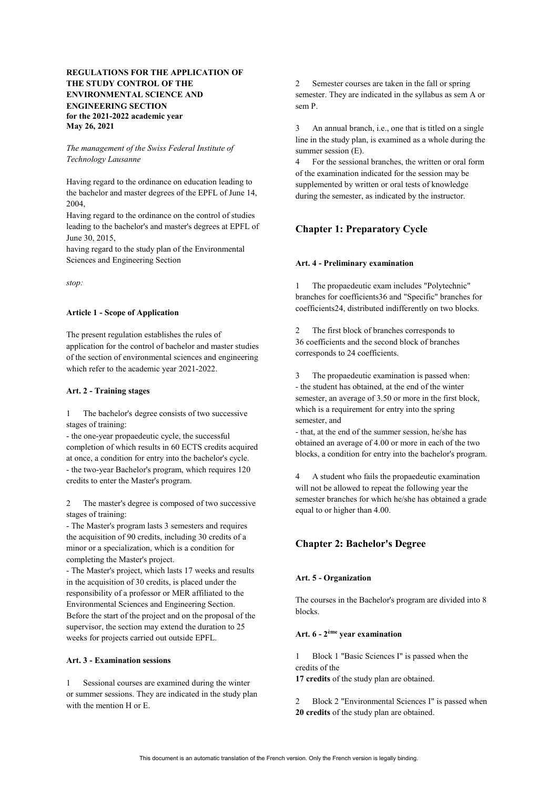# **REGULATIONS FOR THE APPLICATION OF THE STUDY CONTROL OF THE ENVIRONMENTAL SCIENCE AND ENGINEERING SECTION for the 2021-2022 academic year May 26, 2021**

## *The management of the Swiss Federal Institute of Technology Lausanne*

Having regard to the ordinance on education leading to the bachelor and master degrees of the EPFL of June 14, 2004,

Having regard to the ordinance on the control of studies leading to the bachelor's and master's degrees at EPFL of June 30, 2015,

having regard to the study plan of the Environmental Sciences and Engineering Section

*stop:*

### **Article 1 - Scope of Application**

The present regulation establishes the rules of application for the control of bachelor and master studies of the section of environmental sciences and engineering which refer to the academic year 2021-2022.

#### **Art. 2 - Training stages**

1 The bachelor's degree consists of two successive stages of training:

- the one-year propaedeutic cycle, the successful completion of which results in 60 ECTS credits acquired at once, a condition for entry into the bachelor's cycle. - the two-year Bachelor's program, which requires 120 credits to enter the Master's program.

2 The master's degree is composed of two successive stages of training:

- The Master's program lasts 3 semesters and requires the acquisition of 90 credits, including 30 credits of a minor or a specialization, which is a condition for completing the Master's project.

- The Master's project, which lasts 17 weeks and results in the acquisition of 30 credits, is placed under the responsibility of a professor or MER affiliated to the Environmental Sciences and Engineering Section. Before the start of the project and on the proposal of the supervisor, the section may extend the duration to 25 weeks for projects carried out outside EPFL.

### **Art. 3 - Examination sessions**

1 Sessional courses are examined during the winter or summer sessions. They are indicated in the study plan with the mention H or E.

2 Semester courses are taken in the fall or spring semester. They are indicated in the syllabus as sem A or sem P.

3 An annual branch, i.e., one that is titled on a single line in the study plan, is examined as a whole during the summer session (E).

4 For the sessional branches, the written or oral form of the examination indicated for the session may be supplemented by written or oral tests of knowledge during the semester, as indicated by the instructor.

# **Chapter 1: Preparatory Cycle**

### **Art. 4 - Preliminary examination**

1 The propaedeutic exam includes "Polytechnic" branches for coefficients36 and "Specific" branches for coefficients24, distributed indifferently on two blocks.

The first block of branches corresponds to 36 coefficients and the second block of branches corresponds to 24 coefficients.

3 The propaedeutic examination is passed when: - the student has obtained, at the end of the winter semester, an average of 3.50 or more in the first block, which is a requirement for entry into the spring semester, and

- that, at the end of the summer session, he/she has obtained an average of 4.00 or more in each of the two blocks, a condition for entry into the bachelor's program.

4 A student who fails the propaedeutic examination will not be allowed to repeat the following year the semester branches for which he/she has obtained a grade equal to or higher than 4.00.

# **Chapter 2: Bachelor's Degree**

### **Art. 5 - Organization**

The courses in the Bachelor's program are divided into 8 blocks.

### **Art. 6 - 2ème year examination**

1 Block 1 "Basic Sciences I" is passed when the credits of the

**17 credits** of the study plan are obtained.

2 Block 2 "Environmental Sciences I" is passed when **20 credits** of the study plan are obtained.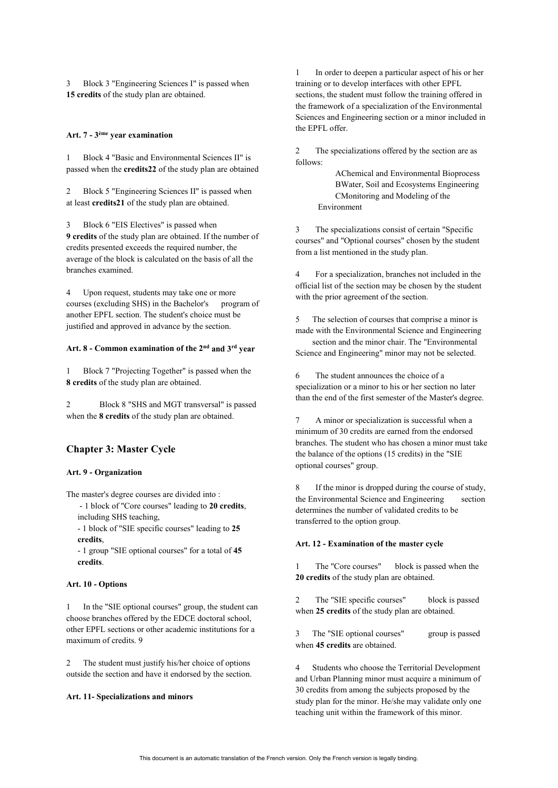Block 3 "Engineering Sciences I" is passed when **15 credits** of the study plan are obtained.

#### **Art. 7 - 3ème year examination**

1 Block 4 "Basic and Environmental Sciences II" is passed when the **credits22** of the study plan are obtained

Block 5 "Engineering Sciences II" is passed when at least **credits21** of the study plan are obtained.

Block 6 "EIS Electives" is passed when **9 credits** of the study plan are obtained. If the number of credits presented exceeds the required number, the average of the block is calculated on the basis of all the branches examined.

4 Upon request, students may take one or more courses (excluding SHS) in the Bachelor's program of another EPFL section. The student's choice must be justified and approved in advance by the section.

# **Art. 8 - Common examination of the 2nd and 3rd year**

1 Block 7 "Projecting Together" is passed when the **8 credits** of the study plan are obtained.

2 Block 8 "SHS and MGT transversal" is passed when the **8 credits** of the study plan are obtained.

### **Chapter 3: Master Cycle**

#### **Art. 9 - Organization**

The master's degree courses are divided into :

- 1 block of "Core courses" leading to **20 credits**, including SHS teaching,

- 1 block of "SIE specific courses" leading to **25 credits**,

- 1 group "SIE optional courses" for a total of **45 credits**.

#### **Art. 10 - Options**

1 In the "SIE optional courses" group, the student can choose branches offered by the EDCE doctoral school, other EPFL sections or other academic institutions for a maximum of credits. 9

2 The student must justify his/her choice of options outside the section and have it endorsed by the section.

#### **Art. 11- Specializations and minors**

1 In order to deepen a particular aspect of his or her training or to develop interfaces with other EPFL sections, the student must follow the training offered in the framework of a specialization of the Environmental Sciences and Engineering section or a minor included in the EPFL offer.

2 The specializations offered by the section are as follows:

> AChemical and Environmental Bioprocess BWater, Soil and Ecosystems Engineering CMonitoring and Modeling of the Environment

3 The specializations consist of certain "Specific courses" and "Optional courses" chosen by the student from a list mentioned in the study plan.

4 For a specialization, branches not included in the official list of the section may be chosen by the student with the prior agreement of the section.

5 The selection of courses that comprise a minor is made with the Environmental Science and Engineering

section and the minor chair. The "Environmental Science and Engineering" minor may not be selected.

6 The student announces the choice of a specialization or a minor to his or her section no later than the end of the first semester of the Master's degree.

A minor or specialization is successful when a minimum of 30 credits are earned from the endorsed branches. The student who has chosen a minor must take the balance of the options (15 credits) in the "SIE optional courses" group.

8 If the minor is dropped during the course of study, the Environmental Science and Engineering section determines the number of validated credits to be transferred to the option group.

#### **Art. 12 - Examination of the master cycle**

The "Core courses" block is passed when the **20 credits** of the study plan are obtained.

2 The "SIE specific courses" block is passed when **25 credits** of the study plan are obtained.

3 The "SIE optional courses" group is passed when **45 credits** are obtained.

4 Students who choose the Territorial Development and Urban Planning minor must acquire a minimum of 30 credits from among the subjects proposed by the study plan for the minor. He/she may validate only one teaching unit within the framework of this minor.